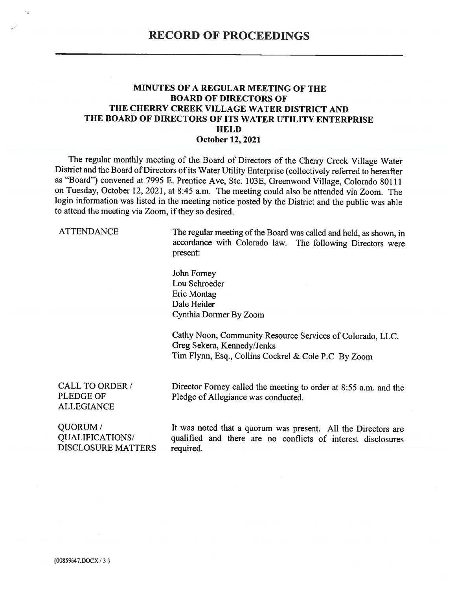#### **MINUTES OF A REGULAR MEETING OF THE BOARD OF DIRECTORS OF** THE CHERRY CREEK VILLAGE WATER DISTRICT AND THE BOARD OF DIRECTORS OF ITS WATER UTILITY ENTERPRISE **HELD October 12, 2021**

The regular monthly meeting of the Board of Directors of the Cherry Creek Village Water District and the Board of Directors of its Water Utility Enterprise (collectively referred to hereafter as "Board") convened at 7995 E. Prentice Ave, Ste. 103E, Greenwood Village, Colorado 80111 on Tuesday, October 12, 2021, at 8:45 a.m. The meeting could also be attended via Zoom. The login information was listed in the meeting notice posted by the District and the public was able to attend the meeting via Zoom, if they so desired.

**ATTENDANCE** 

The regular meeting of the Board was called and held, as shown, in accordance with Colorado law. The following Directors were present:

John Forney Lou Schroeder Eric Montag Dale Heider Cynthia Dormer By Zoom

Cathy Noon, Community Resource Services of Colorado, LLC. Greg Sekera, Kennedy/Jenks Tim Flynn, Esq., Collins Cockrel & Cole P.C By Zoom

**CALL TO ORDER / PLEDGE OF ALLEGIANCE** 

Director Forney called the meeting to order at 8:55 a.m. and the Pledge of Allegiance was conducted.

QUORUM/ **QUALIFICATIONS DISCLOSURE MATTERS** 

It was noted that a quorum was present. All the Directors are qualified and there are no conflicts of interest disclosures required.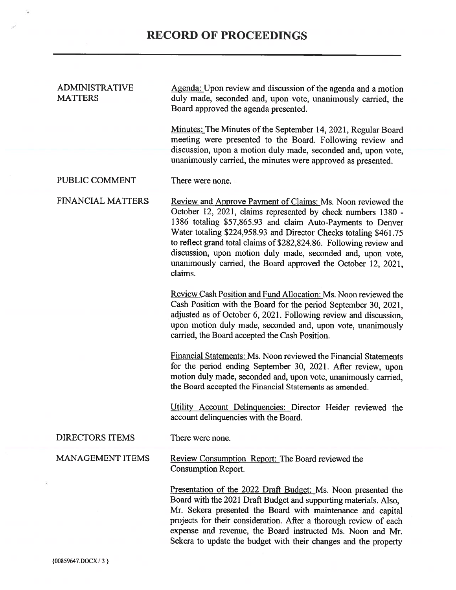| ADMINISTRATIVE<br><b>MATTERS</b> | Agenda: Upon review and discussion of the agenda and a motion<br>duly made, seconded and, upon vote, unanimously carried, the<br>Board approved the agenda presented.                                                                                                                                                                                                                                                                                                             |
|----------------------------------|-----------------------------------------------------------------------------------------------------------------------------------------------------------------------------------------------------------------------------------------------------------------------------------------------------------------------------------------------------------------------------------------------------------------------------------------------------------------------------------|
|                                  | Minutes: The Minutes of the September 14, 2021, Regular Board<br>meeting were presented to the Board. Following review and<br>discussion, upon a motion duly made, seconded and, upon vote,<br>unanimously carried, the minutes were approved as presented.                                                                                                                                                                                                                       |
| PUBLIC COMMENT                   | There were none.                                                                                                                                                                                                                                                                                                                                                                                                                                                                  |
| <b>FINANCIAL MATTERS</b>         | Review and Approve Payment of Claims: Ms. Noon reviewed the<br>October 12, 2021, claims represented by check numbers 1380 -<br>1386 totaling \$57,865.93 and claim Auto-Payments to Denver<br>Water totaling \$224,958.93 and Director Checks totaling \$461.75<br>to reflect grand total claims of \$282,824.86. Following review and<br>discussion, upon motion duly made, seconded and, upon vote,<br>unanimously carried, the Board approved the October 12, 2021,<br>claims. |
|                                  | Review Cash Position and Fund Allocation: Ms. Noon reviewed the<br>Cash Position with the Board for the period September 30, 2021,<br>adjusted as of October 6, 2021. Following review and discussion,<br>upon motion duly made, seconded and, upon vote, unanimously<br>carried, the Board accepted the Cash Position.                                                                                                                                                           |
|                                  | <b>Financial Statements: Ms. Noon reviewed the Financial Statements</b><br>for the period ending September 30, 2021. After review, upon<br>motion duly made, seconded and, upon vote, unanimously carried,<br>the Board accepted the Financial Statements as amended.                                                                                                                                                                                                             |
|                                  | Utility Account Delinquencies: Director Heider reviewed the<br>account delinquencies with the Board                                                                                                                                                                                                                                                                                                                                                                               |
| <b>DIRECTORS ITEMS</b>           | There were none.                                                                                                                                                                                                                                                                                                                                                                                                                                                                  |
| <b>MANAGEMENT ITEMS</b>          | Review Consumption Report: The Board reviewed the<br><b>Consumption Report.</b>                                                                                                                                                                                                                                                                                                                                                                                                   |
|                                  | Presentation of the 2022 Draft Budget: Ms. Noon presented the<br>Board with the 2021 Draft Budget and supporting materials. Also,<br>Mr. Sekera presented the Board with maintenance and capital<br>projects for their consideration. After a thorough review of each<br>expense and revenue, the Board instructed Ms. Noon and Mr.<br>Sekera to update the budget with their changes and the property                                                                            |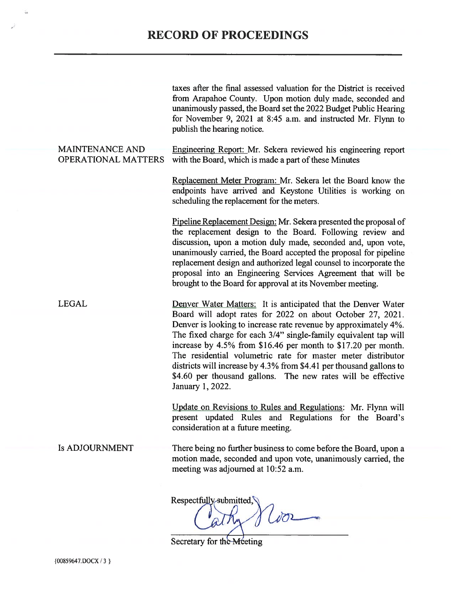# **RECORD OF PROCEEDINGS**

taxes after the final assessed valuation for the District is received from Arapahoe County. Upon motion duly made, seconded and unanimously passed, the Board set the 2022 Budget Public Hearing for November 9, 2021 at 8:45 a.m. and instructed Mr. Flynn to publish the hearing notice. **MAINTENANCE AND** Engineering Report: Mr. Sekera reviewed his engineering report **OPERATIONAL MATTERS** with the Board, which is made a part of these Minutes Replacement Meter Program: Mr. Sekera let the Board know the endpoints have arrived and Keystone Utilities is working on scheduling the replacement for the meters. Pipeline Replacement Design: Mr. Sekera presented the proposal of the replacement design to the Board. Following review and discussion, upon a motion duly made, seconded and, upon vote, unanimously carried, the Board accepted the proposal for pipeline replacement design and authorized legal counsel to incorporate the proposal into an Engineering Services Agreement that will be brought to the Board for approval at its November meeting. **LEGAL** Denver Water Matters: It is anticipated that the Denver Water Board will adopt rates for 2022 on about October 27, 2021. Denver is looking to increase rate revenue by approximately 4%. The fixed charge for each 3/4" single-family equivalent tap will increase by 4.5% from \$16.46 per month to \$17.20 per month. The residential volumetric rate for master meter distributor districts will increase by 4.3% from \$4.41 per thousand gallons to \$4.60 per thousand gallons. The new rates will be effective January 1, 2022. Update on Revisions to Rules and Regulations: Mr. Flynn will present updated Rules and Regulations for the Board's consideration at a future meeting. **Is ADJOURNMENT** There being no further business to come before the Board, upon a motion made, seconded and upon vote, unanimously carried, the meeting was adjourned at 10:52 a.m. Respectfully submitted,

Secretary for the Meeting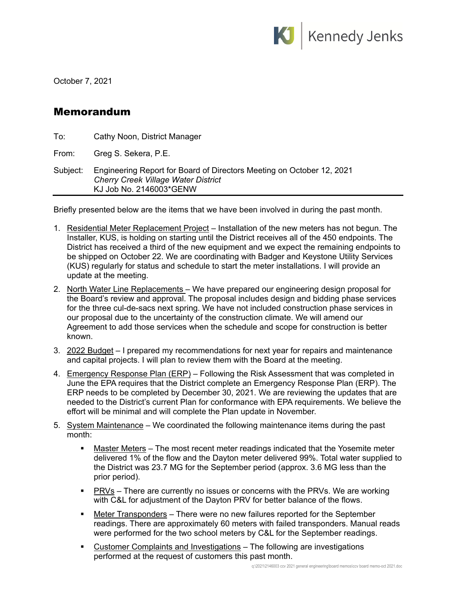

October 7, 2021

### Memorandum

| To:      | Cathy Noon, District Manager                                                                                                                   |
|----------|------------------------------------------------------------------------------------------------------------------------------------------------|
| From:    | Greg S. Sekera, P.E.                                                                                                                           |
| Subject: | Engineering Report for Board of Directors Meeting on October 12, 2021<br><b>Cherry Creek Village Water District</b><br>KJ Job No. 2146003*GENW |

Briefly presented below are the items that we have been involved in during the past month.

- 1. Residential Meter Replacement Project Installation of the new meters has not begun. The Installer, KUS, is holding on starting until the District receives all of the 450 endpoints. The District has received a third of the new equipment and we expect the remaining endpoints to be shipped on October 22. We are coordinating with Badger and Keystone Utility Services (KUS) regularly for status and schedule to start the meter installations. I will provide an update at the meeting.
- 2. North Water Line Replacements We have prepared our engineering design proposal for the Board's review and approval. The proposal includes design and bidding phase services for the three cul-de-sacs next spring. We have not included construction phase services in our proposal due to the uncertainty of the construction climate. We will amend our Agreement to add those services when the schedule and scope for construction is better known.
- 3. 2022 Budget I prepared my recommendations for next year for repairs and maintenance and capital projects. I will plan to review them with the Board at the meeting.
- 4. Emergency Response Plan (ERP) Following the Risk Assessment that was completed in June the EPA requires that the District complete an Emergency Response Plan (ERP). The ERP needs to be completed by December 30, 2021. We are reviewing the updates that are needed to the District's current Plan for conformance with EPA requirements. We believe the effort will be minimal and will complete the Plan update in November.
- 5. System Maintenance We coordinated the following maintenance items during the past month:
	- Master Meters The most recent meter readings indicated that the Yosemite meter delivered 1% of the flow and the Dayton meter delivered 99%. Total water supplied to the District was 23.7 MG for the September period (approx. 3.6 MG less than the prior period).
	- **PRVs** There are currently no issues or concerns with the PRVs. We are working with C&L for adjustment of the Dayton PRV for better balance of the flows.
	- Meter Transponders There were no new failures reported for the September readings. There are approximately 60 meters with failed transponders. Manual reads were performed for the two school meters by C&L for the September readings.
	- Customer Complaints and Investigations The following are investigations performed at the request of customers this past month.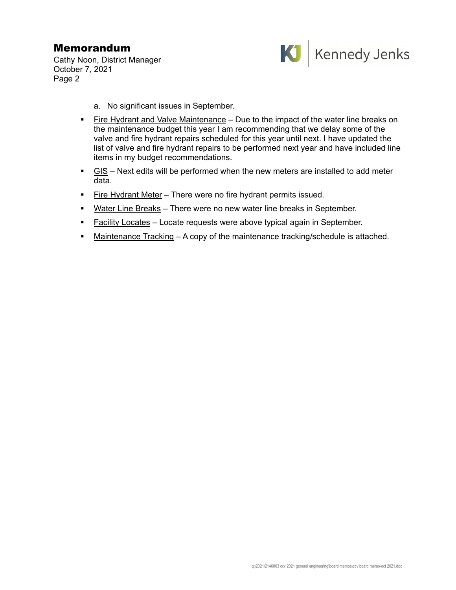## Memorandum

Cathy Noon, District Manager October 7, 2021 Page 2



- a. No significant issues in September.
- Fire Hydrant and Valve Maintenance Due to the impact of the water line breaks on the maintenance budget this year I am recommending that we delay some of the valve and fire hydrant repairs scheduled for this year until next. I have updated the list of valve and fire hydrant repairs to be performed next year and have included line items in my budget recommendations.
- $\blacksquare$  GIS Next edits will be performed when the new meters are installed to add meter data.
- **Fire Hydrant Meter** There were no fire hydrant permits issued.
- Water Line Breaks There were no new water line breaks in September.
- **Facility Locates** Locate requests were above typical again in September.
- Maintenance Tracking A copy of the maintenance tracking/schedule is attached.